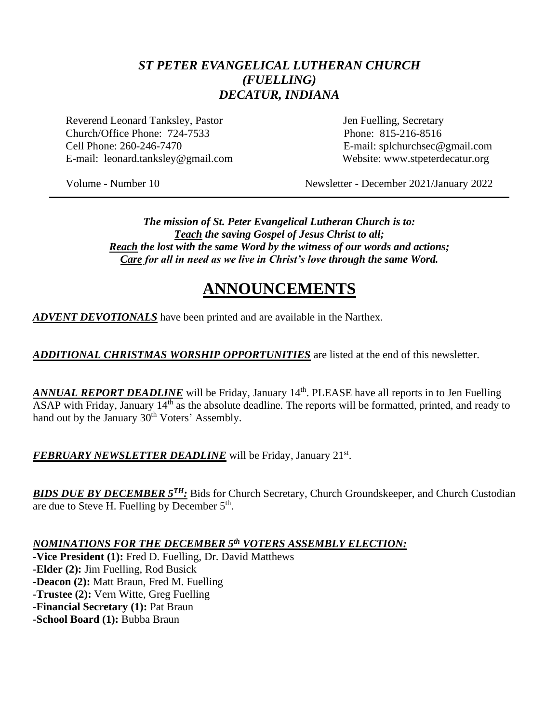### *ST PETER EVANGELICAL LUTHERAN CHURCH (FUELLING) DECATUR, INDIANA*

Reverend Leonard Tanksley, Pastor **Jen Fuelling**, Secretary Church/Office Phone: 724-7533 Phone: 815-216-8516 Cell Phone: 260-246-7470 E-mail: splchurchsec@gmail.com E-mail: leonard.tanksley@gmail.com Website: www.stpeterdecatur.org

Volume - Number 10 Newsletter - December 2021/January 2022

*The mission of St. Peter Evangelical Lutheran Church is to: Teach the saving Gospel of Jesus Christ to all; Reach the lost with the same Word by the witness of our words and actions; Care for all in need as we live in Christ's love through the same Word.*

# **ANNOUNCEMENTS**

*ADVENT DEVOTIONALS* have been printed and are available in the Narthex.

*ADDITIONAL CHRISTMAS WORSHIP OPPORTUNITIES* are listed at the end of this newsletter.

ANNUAL REPORT DEADLINE will be Friday, January 14<sup>th</sup>. PLEASE have all reports in to Jen Fuelling ASAP with Friday, January 14th as the absolute deadline. The reports will be formatted, printed, and ready to hand out by the January 30<sup>th</sup> Voters' Assembly.

FEBRUARY NEWSLETTER DEADLINE will be Friday, January 21<sup>st</sup>.

*BIDS DUE BY DECEMBER 5<sup>TH</sup>:* Bids for Church Secretary, Church Groundskeeper, and Church Custodian are due to Steve H. Fuelling by December 5<sup>th</sup>.

*NOMINATIONS FOR THE DECEMBER 5th VOTERS ASSEMBLY ELECTION:*

**-Vice President (1):** Fred D. Fuelling, Dr. David Matthews **-Elder (2):** Jim Fuelling, Rod Busick **-Deacon (2):** Matt Braun, Fred M. Fuelling **-Trustee (2):** Vern Witte, Greg Fuelling **-Financial Secretary (1):** Pat Braun **-School Board (1):** Bubba Braun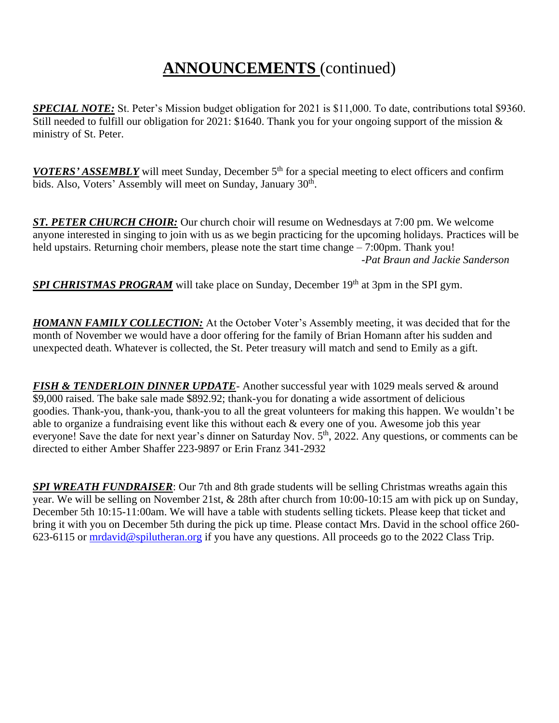# **ANNOUNCEMENTS** (continued)

*SPECIAL NOTE:* St. Peter's Mission budget obligation for 2021 is \$11,000. To date, contributions total \$9360. Still needed to fulfill our obligation for 2021: \$1640. Thank you for your ongoing support of the mission & ministry of St. Peter.

*VOTERS' ASSEMBLY* will meet Sunday, December 5<sup>th</sup> for a special meeting to elect officers and confirm bids. Also, Voters' Assembly will meet on Sunday, January 30<sup>th</sup>.

*ST. PETER CHURCH CHOIR:* Our church choir will resume on Wednesdays at 7:00 pm. We welcome anyone interested in singing to join with us as we begin practicing for the upcoming holidays. Practices will be held upstairs. Returning choir members, please note the start time change – 7:00pm. Thank you! *-Pat Braun and Jackie Sanderson*

*SPI CHRISTMAS PROGRAM* will take place on Sunday, December 19<sup>th</sup> at 3pm in the SPI gym.

*HOMANN FAMILY COLLECTION:* At the October Voter's Assembly meeting, it was decided that for the month of November we would have a door offering for the family of Brian Homann after his sudden and unexpected death. Whatever is collected, the St. Peter treasury will match and send to Emily as a gift.

*FISH & TENDERLOIN DINNER UPDATE*- Another successful year with 1029 meals served & around \$9,000 raised. The bake sale made \$892.92; thank-you for donating a wide assortment of delicious goodies. Thank-you, thank-you, thank-you to all the great volunteers for making this happen. We wouldn't be able to organize a fundraising event like this without each & every one of you. Awesome job this year everyone! Save the date for next year's dinner on Saturday Nov.  $5<sup>th</sup>$ , 2022. Any questions, or comments can be directed to either Amber Shaffer 223-9897 or Erin Franz 341-2932

*SPI WREATH FUNDRAISER*: Our 7th and 8th grade students will be selling Christmas wreaths again this year. We will be selling on November 21st, & 28th after church from 10:00-10:15 am with pick up on Sunday, December 5th 10:15-11:00am. We will have a table with students selling tickets. Please keep that ticket and bring it with you on December 5th during the pick up time. Please contact Mrs. David in the school office 260- 623-6115 or [mrdavid@spilutheran.org](mailto:mrdavid@spilutheran.org) if you have any questions. All proceeds go to the 2022 Class Trip.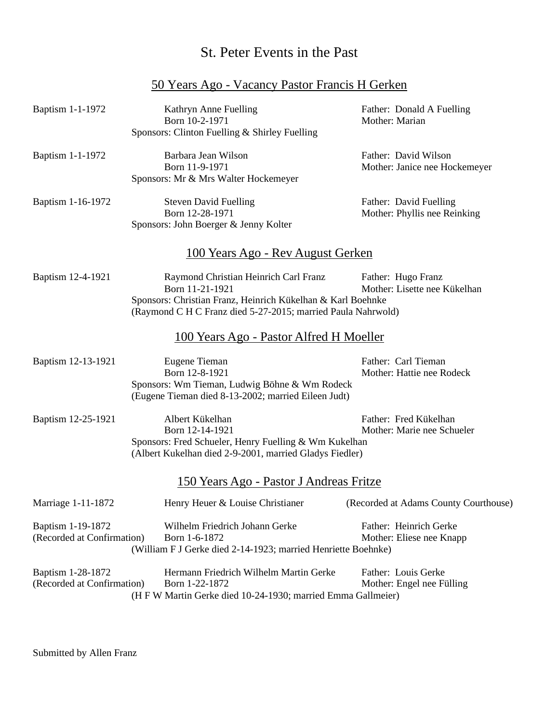### St. Peter Events in the Past

50 Years Ago - Vacancy Pastor Francis H Gerken

## Baptism 1-1-1972 Kathryn Anne Fuelling Father: Donald A Fuelling Born 10-2-1971 Mother: Marian Sponsors: Clinton Fuelling & Shirley Fuelling Baptism 1-1-1972 Barbara Jean Wilson Father: David Wilson Born 11-9-1971 Mother: Janice nee Hockemeyer Sponsors: Mr & Mrs Walter Hockemeyer Baptism 1-16-1972 Steven David Fuelling Father: David Fuelling Born 12-28-1971 Mother: Phyllis nee Reinking Sponsors: John Boerger & Jenny Kolter 100 Years Ago - Rev August Gerken Baptism 12-4-1921 Raymond Christian Heinrich Carl Franz Father: Hugo Franz Born 11-21-1921 Mother: Lisette nee Kükelhan Sponsors: Christian Franz, Heinrich Kükelhan & Karl Boehnke (Raymond C H C Franz died 5-27-2015; married Paula Nahrwold) 100 Years Ago - Pastor Alfred H Moeller Baptism 12-13-1921 Eugene Tieman Father: Carl Tieman Born 12-8-1921 Mother: Hattie nee Rodeck Sponsors: Wm Tieman, Ludwig Böhne & Wm Rodeck (Eugene Tieman died 8-13-2002; married Eileen Judt) Baptism 12-25-1921 Albert Kükelhan Father: Fred Kükelhan Born 12-14-1921 Mother: Marie nee Schueler Sponsors: Fred Schueler, Henry Fuelling & Wm Kukelhan (Albert Kukelhan died 2-9-2001, married Gladys Fiedler) 150 Years Ago - Pastor J Andreas Fritze Marriage 1-11-1872 Henry Heuer & Louise Christianer (Recorded at Adams County Courthouse) Baptism 1-19-1872 Wilhelm Friedrich Johann Gerke Father: Heinrich Gerke (Recorded at Confirmation) Born 1-6-1872 Mother: Eliese nee Knapp (William F J Gerke died 2-14-1923; married Henriette Boehnke) Baptism 1-28-1872 Hermann Friedrich Wilhelm Martin Gerke Father: Louis Gerke (Recorded at Confirmation) Born 1-22-1872 Mother: Engel nee Fülling (H F W Martin Gerke died 10-24-1930; married Emma Gallmeier)

Submitted by Allen Franz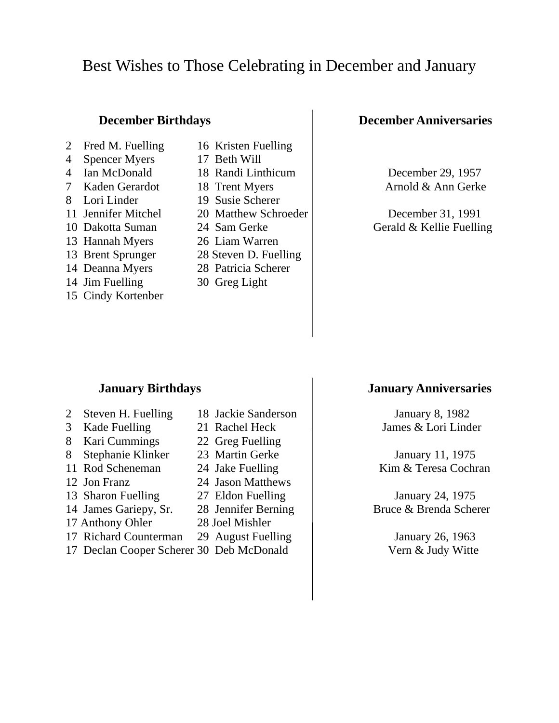# Best Wishes to Those Celebrating in December and January

- 
- 
- 
- 
- 
- 
- 
- 
- 
- 
- 14 Jim Fuelling 30 Greg Light
- 15 Cindy Kortenber
- 2 Fred M. Fuelling 16 Kristen Fuelling
- 4 Spencer Myers 17 Beth Will
	-
	-
- 8 Lori Linder 19 Susie Scherer
	-
	-
- 13 Hannah Myers 26 Liam Warren
- 13 Brent Sprunger 28 Steven D. Fuelling
- 14 Deanna Myers 28 Patricia Scherer
	-

### **December Birthdays December Anniversaries**

4 Ian McDonald 18 Randi Linthicum December 29, 1957 7 Kaden Gerardot 18 Trent Myers 1 Arnold & Ann Gerke

11 Jennifer Mitchel 20 Matthew Schroeder December 31, 1991 10 Dakotta Suman 24 Sam Gerke Gerald & Kellie Fuelling

- 2 Steven H. Fuelling 18 Jackie Sanderson | January 8, 1982
- 
- 8 Kari Cummings 22 Greg Fuelling
- 8 Stephanie Klinker 23 Martin Gerke January 11, 1975
- 
- 12 Jon Franz 24 Jason Matthews
- 
- 
- 17 Anthony Ohler 28 Joel Mishler
- 17 Richard Counterman 29 August Fuelling | January 26, 1963
- 17 Declan Cooper Scherer 30 Deb McDonald Vern & Judy Witte

### **January Birthdays January Anniversaries**

3 Kade Fuelling 21 Rachel Heck James & Lori Linder

11 Rod Scheneman 24 Jake Fuelling Kim & Teresa Cochran

13 Sharon Fuelling 27 Eldon Fuelling and January 24, 1975 14 James Gariepy, Sr. 28 Jennifer Berning Bruce & Brenda Scherer

- 
- 
- 
- 
- 
- 
- 
-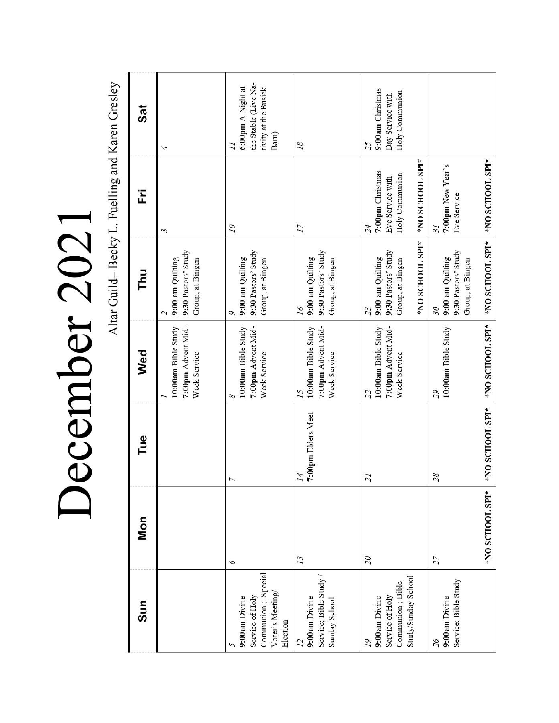December 2021

Altar Guild-Becky L. Fuelling and Karen Gresley

| Sun                                                                                   | <b>Mon</b>      | Tue                                   | Wed                                                             | Thu                                                                                  | Ë                                                                               | <b>Sat</b>                                                                                   |
|---------------------------------------------------------------------------------------|-----------------|---------------------------------------|-----------------------------------------------------------------|--------------------------------------------------------------------------------------|---------------------------------------------------------------------------------|----------------------------------------------------------------------------------------------|
|                                                                                       |                 |                                       | 7:00pm Advent Mid-<br>10:00am Bible Study<br>Week Service       | 9:30 Pastors' Study<br>9:00 am Quilting<br>Group, at Bingen<br>$\mathcal{L}$         | 3                                                                               | 4                                                                                            |
| Communion; Special<br>Voter's Meeting<br>9:00am Divine<br>Service of Holy<br>Election | 9               |                                       | 7:00pm Advent Mid-<br>10:00am Bible Study<br>Week Service<br>∽  | 9:30 Pastors' Study<br>9:00 am Quilting<br>Group, at Bingen<br>Ó                     | $\overline{a}$                                                                  | the Stable (Live Na-<br>6:00pm A Night at<br>tivity at the Busick<br>Barn)<br>$\overline{1}$ |
| Service; Bible Study<br>9:00am Divine<br>Sunday School<br>$\overline{L}$              | 13              | 7:00pm Elders Meet<br>$\overline{14}$ | 7:00pm Advent Mid-<br>10:00am Bible Study<br>Week Service<br>15 | 9:30 Pastors' Study<br>9:00 am Quilting<br>Group, at Bingen<br>16                    | 17                                                                              | 18                                                                                           |
| Study/Sunday School<br>Communion; Bible<br>Service of Holy<br>9:00am Divine<br>19     | $\overline{0}$  | $\overline{21}$                       | 7:00pm Advent Mid-<br>10:00am Bible Study<br>Week Service<br>22 | *NO SCHOOL SPI*<br>9:30 Pastors' Study<br>9:00 am Quilting<br>Group, at Bingen<br>23 | *NO SCHOOL SPI*<br>7:00pm Christmas<br>Holy Communion<br>Eve Service with<br>24 | 9:00am Christmas<br>Holy Communion<br>Day Service with<br>25                                 |
| Service; Bible Study<br>9:00am Divine<br>26                                           | 27              | 28                                    | 10:00am Bible Study<br>65                                       | 9:30 Pastors' Study<br>9:00 am Quilting<br>Group, at Bingen<br>30                    | 7:00pm New Year's<br>Eve Service<br>$\tilde{\mathcal{L}}$                       |                                                                                              |
|                                                                                       | *NO SCHOOL SPI* | *NO SCHOOL SPI*                       | *NO SCHOOL SPI*                                                 | *NO SCHOOL SPI*                                                                      | *NO SCHOOL SPI*                                                                 |                                                                                              |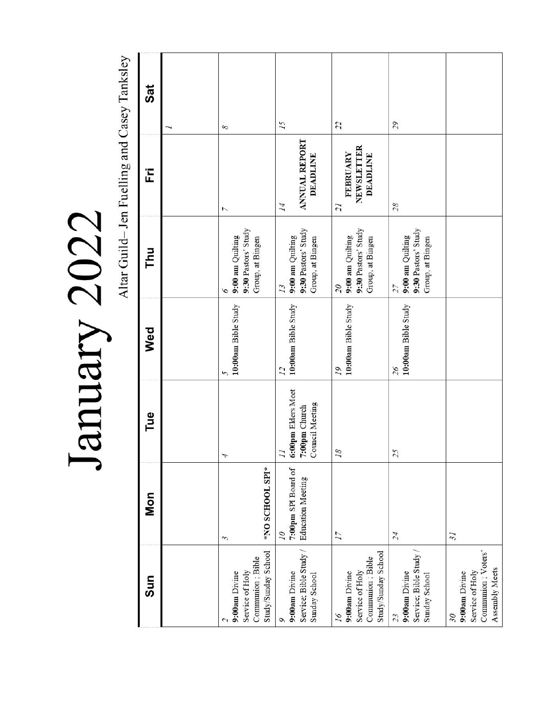| l                             |  |
|-------------------------------|--|
|                               |  |
|                               |  |
| $\sum_{n=1}^{\infty}$<br>「「くく |  |
|                               |  |

Altar Guild-Jen Fuelling and Casey Tanksley

| Sat        | 8                                                                           | 15                                                                        | 22                                                                                | 29                                                                |                                                                                                       |
|------------|-----------------------------------------------------------------------------|---------------------------------------------------------------------------|-----------------------------------------------------------------------------------|-------------------------------------------------------------------|-------------------------------------------------------------------------------------------------------|
| Ë          | 7                                                                           | <b>ANNUAL REPORT</b><br><b>DEADLINE</b><br>14                             | NEWSLETTER<br>FEBRUARY<br><b>DEADLINE</b><br>21                                   | 28                                                                |                                                                                                       |
| Thu        | 9:30 Pastors' Study<br>9:00 am Quilting<br>Group, at Bingen<br>6            | 9:30 Pastors' Study<br>9:00 am Quilting<br>Group, at Bingen<br>13         | 9:30 Pastors' Study<br>9:00 am Quilting<br>Group, at Bingen<br>$\overline{0}$     | 9:30 Pastors' Study<br>9:00 am Quilting<br>Group, at Bingen<br>27 |                                                                                                       |
| Wed        | 10:00am Bible Study<br>5                                                    | 10:00am Bible Study<br>$\overline{L}$                                     | 10:00am Bible Study<br>19                                                         | 10:00am Bible Study<br>26                                         |                                                                                                       |
| Tue        | 4                                                                           | 6:00pm Elders Meet<br>Council Meeting<br>7:00pm Church<br>$\overline{11}$ | 18                                                                                | 25                                                                |                                                                                                       |
| <b>Mon</b> | *NO SCHOOL SPI*<br>3                                                        | 7:00pm SPI Board of<br><b>Education Meeting</b><br>07                     | $\overline{17}$                                                                   | 24                                                                | $\tilde{z}$                                                                                           |
| Sun        | Study/Sunday School<br>Communion; Bible<br>Service of Holy<br>9:00am Divine | Service; Bible Study /<br>9:00am Divine<br>Sunday School<br>Q             | Study/Sunday School<br>Communion; Bible<br>Service of Holy<br>9:00am Divine<br>16 | Service; Bible Study<br>9:00am Divine<br>Sunday School<br>23      | Communion ; Voters'<br>Assembly Meets<br>Service of Holy<br>9:00am Divine<br>$\overline{\mathcal{S}}$ |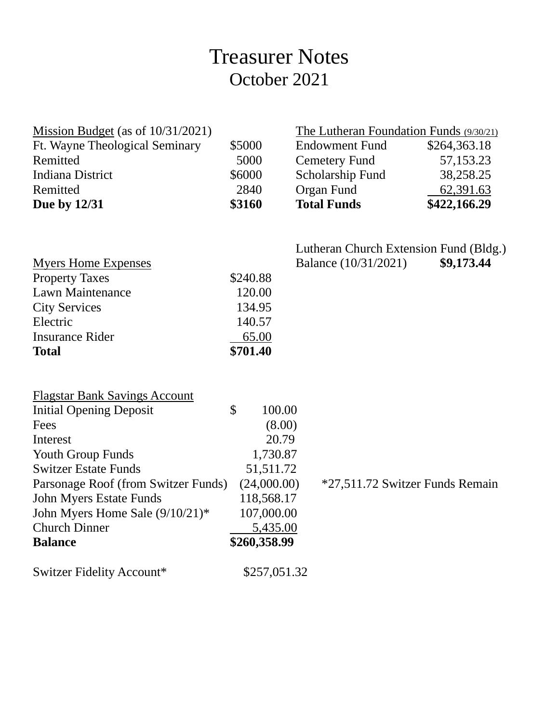# Treasurer Notes October 2021

| Mission Budget (as of $10/31/2021$ )          |                         | The Lutheran Foundation Funds (9/30/21) |              |
|-----------------------------------------------|-------------------------|-----------------------------------------|--------------|
| Ft. Wayne Theological Seminary                | \$5000                  | <b>Endowment Fund</b>                   | \$264,363.18 |
| Remitted                                      | 5000                    | <b>Cemetery Fund</b>                    | 57,153.23    |
| <b>Indiana District</b>                       | \$6000                  | Scholarship Fund                        | 38,258.25    |
| Remitted                                      | 2840                    | <b>Organ Fund</b>                       | 62,391.63    |
| Due by 12/31                                  | \$3160                  | <b>Total Funds</b>                      | \$422,166.29 |
|                                               |                         | Lutheran Church Extension Fund (Bldg.)  |              |
| <b>Myers Home Expenses</b>                    |                         | Balance (10/31/2021)                    | \$9,173.44   |
| <b>Property Taxes</b>                         | \$240.88                |                                         |              |
| <b>Lawn Maintenance</b>                       | 120.00                  |                                         |              |
| <b>City Services</b>                          | 134.95                  |                                         |              |
| Electric                                      | 140.57                  |                                         |              |
| <b>Insurance Rider</b>                        | 65.00                   |                                         |              |
| <b>Total</b>                                  | \$701.40                |                                         |              |
|                                               |                         |                                         |              |
| <b>Flagstar Bank Savings Account</b>          | $\mathcal{S}$<br>100.00 |                                         |              |
| <b>Initial Opening Deposit</b><br>Fees        | (8.00)                  |                                         |              |
| Interest                                      | 20.79                   |                                         |              |
| <b>Youth Group Funds</b>                      | 1,730.87                |                                         |              |
| <b>Switzer Estate Funds</b>                   | 51,511.72               |                                         |              |
| Parsonage Roof (from Switzer Funds)           | (24,000.00)             | *27,511.72 Switzer Funds Remain         |              |
| <b>John Myers Estate Funds</b>                | 118,568.17              |                                         |              |
| John Myers Home Sale $(9/10/21)$ <sup>*</sup> | 107,000.00              |                                         |              |
| <b>Church Dinner</b>                          | 5,435.00                |                                         |              |
| <b>Balance</b>                                | \$260,358.99            |                                         |              |
| Switzer Fidelity Account*                     | \$257,051.32            |                                         |              |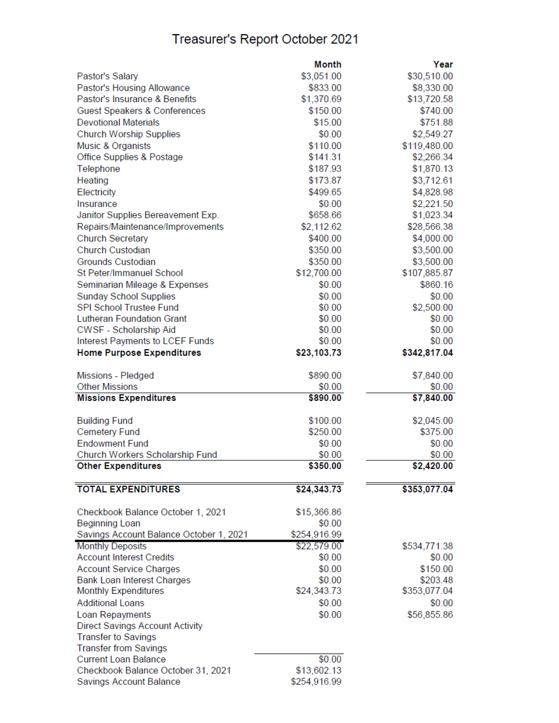# Treasurer's Report October 2021

|                                         | Month              | Year                 |
|-----------------------------------------|--------------------|----------------------|
| Pastor's Salary                         | \$3,051.00         | \$30,510.00          |
| Pastor's Housing Allowance              | \$833.00           | \$8,330.00           |
| Pastor's Insurance & Benefits           | \$1,370.69         | \$13,720.58          |
| Guest Speakers & Conferences            | \$150.00           | \$740.00             |
| <b>Devotional Materials</b>             | \$15.00            | \$751.88             |
| <b>Church Worship Supplies</b>          | \$0.00             | \$2,549.27           |
| Music & Organists                       | \$110.00           | \$119,480.00         |
| Office Supplies & Postage               | \$141.31           | \$2,266.34           |
| Telephone                               | \$187.93           | \$1,870.13           |
| Heating                                 | \$173.87           | \$3,712.61           |
| Electricity                             | \$499.65           | \$4,828.98           |
| Insurance                               | \$0.00             | \$2,221.50           |
| Janitor Supplies Bereavement Exp.       | \$658.66           | \$1,023.34           |
| Repairs/Maintenance/Improvements        | \$2,112.62         | \$28,566.38          |
| <b>Church Secretary</b>                 | \$400.00           | \$4,000.00           |
| Church Custodian                        | \$350.00           | \$3,500.00           |
| <b>Grounds Custodian</b>                | \$350.00           | \$3,500.00           |
| St Peter/Immanuel School                | \$12,700.00        | \$107,885.87         |
| Seminarian Mileage & Expenses           | \$0.00             | \$860.16             |
| <b>Sunday School Supplies</b>           | \$0.00             | \$0.00               |
| <b>SPI School Trustee Fund</b>          | \$0.00             | \$2,500.00           |
| <b>Lutheran Foundation Grant</b>        | \$0.00             | \$0.00               |
| CWSF - Scholarship Aid                  | \$0.00             | \$0.00               |
| Interest Payments to LCEF Funds         | \$0.00             | \$0.00               |
| <b>Home Purpose Expenditures</b>        | \$23,103.73        | \$342,817.04         |
|                                         |                    |                      |
| Missions - Pledged                      | \$890.00           | \$7,840.00           |
| <b>Other Missions</b>                   | \$0.00<br>\$890.00 | \$0.00<br>\$7,840.00 |
| <b>Missions Expenditures</b>            |                    |                      |
| <b>Building Fund</b>                    | \$100.00           | \$2,045.00           |
| <b>Cemetery Fund</b>                    | \$250.00           | \$375.00             |
| <b>Endowment Fund</b>                   | \$0.00             | \$0.00               |
| Church Workers Scholarship Fund         | \$0.00             | \$0.00               |
| <b>Other Expenditures</b>               | \$350.00           | \$2,420.00           |
| <b>TOTAL EXPENDITURES</b>               | \$24,343.73        | \$353,077.04         |
|                                         |                    |                      |
| Checkbook Balance October 1, 2021       | \$15,366.86        |                      |
| <b>Beginning Loan</b>                   | \$0.00             |                      |
| Savings Account Balance October 1, 2021 | \$254,916.99       |                      |
| <b>Monthly Deposits</b>                 | \$22,579.00        | \$534,771.38         |
| <b>Account Interest Credits</b>         | \$0.00             | \$0.00               |
| <b>Account Service Charges</b>          | \$0.00             | \$150.00             |
| <b>Bank Loan Interest Charges</b>       | \$0.00             | \$203.48             |
| <b>Monthly Expenditures</b>             | \$24,343.73        | \$353,077.04         |
| <b>Additional Loans</b>                 | \$0.00             | \$0.00               |
| Loan Repayments                         | \$0.00             | \$56,855.86          |
| <b>Direct Savings Account Activity</b>  |                    |                      |
| <b>Transfer to Savings</b>              |                    |                      |
| <b>Transfer from Savings</b>            |                    |                      |
| <b>Current Loan Balance</b>             | \$0.00             |                      |
| Checkbook Balance October 31, 2021      | \$13,602.13        |                      |
| Savings Account Balance                 | \$254,916.99       |                      |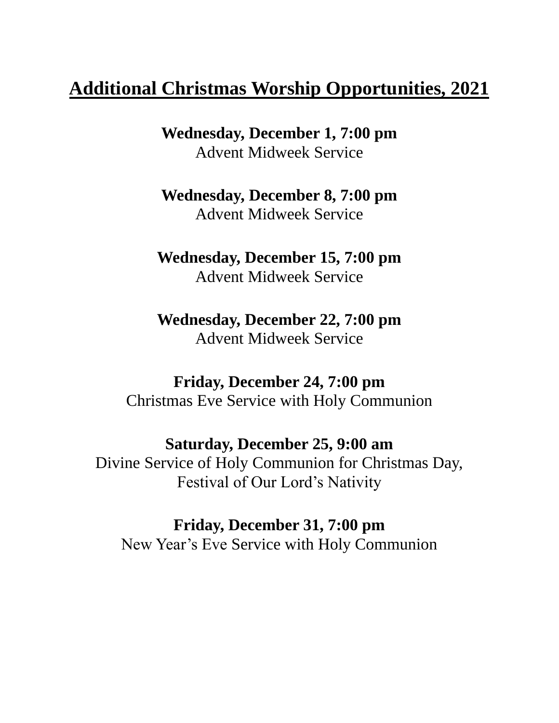# **Additional Christmas Worship Opportunities, 2021**

**Wednesday, December 1, 7:00 pm** Advent Midweek Service

**Wednesday, December 8, 7:00 pm** Advent Midweek Service

**Wednesday, December 15, 7:00 pm** Advent Midweek Service

**Wednesday, December 22, 7:00 pm** Advent Midweek Service

**Friday, December 24, 7:00 pm** Christmas Eve Service with Holy Communion

**Saturday, December 25, 9:00 am** Divine Service of Holy Communion for Christmas Day, Festival of Our Lord's Nativity

**Friday, December 31, 7:00 pm** New Year's Eve Service with Holy Communion